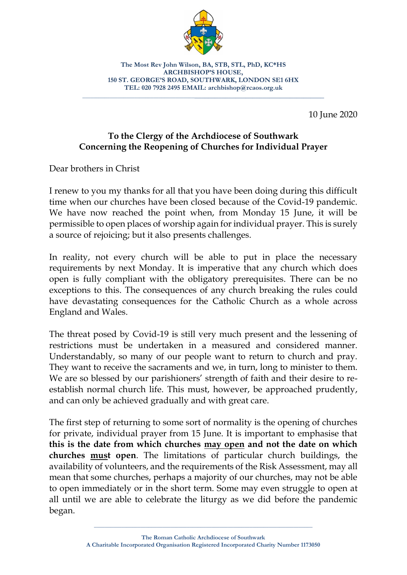

**The Most Rev John Wilson, BA, STB, STL, PhD, KC\*HS ARCHBISHOP'S HOUSE, 150 ST. GEORGE'S ROAD, SOUTHWARK, LONDON SE1 6HX TEL: 020 7928 2495 EMAIL: [archbishop@rcaos.org.uk](mailto:archbishop@rcaos.org.uk)**

**\_\_\_\_\_\_\_\_\_\_\_\_\_\_\_\_\_\_\_\_\_\_\_\_\_\_\_\_\_\_\_\_\_\_\_\_\_\_\_\_\_\_\_\_\_\_\_\_\_\_\_\_\_\_\_\_\_\_\_\_\_\_\_\_\_\_\_\_\_\_\_\_\_\_\_\_\_\_\_**

10 June 2020

## **To the Clergy of the Archdiocese of Southwark Concerning the Reopening of Churches for Individual Prayer**

Dear brothers in Christ

I renew to you my thanks for all that you have been doing during this difficult time when our churches have been closed because of the Covid-19 pandemic. We have now reached the point when, from Monday 15 June, it will be permissible to open places of worship again for individual prayer. This is surely a source of rejoicing; but it also presents challenges.

In reality, not every church will be able to put in place the necessary requirements by next Monday. It is imperative that any church which does open is fully compliant with the obligatory prerequisites. There can be no exceptions to this. The consequences of any church breaking the rules could have devastating consequences for the Catholic Church as a whole across England and Wales.

The threat posed by Covid-19 is still very much present and the lessening of restrictions must be undertaken in a measured and considered manner. Understandably, so many of our people want to return to church and pray. They want to receive the sacraments and we, in turn, long to minister to them. We are so blessed by our parishioners' strength of faith and their desire to reestablish normal church life. This must, however, be approached prudently, and can only be achieved gradually and with great care.

The first step of returning to some sort of normality is the opening of churches for private, individual prayer from 15 June. It is important to emphasise that **this is the date from which churches may open and not the date on which churches must open**. The limitations of particular church buildings, the availability of volunteers, and the requirements of the Risk Assessment, may all mean that some churches, perhaps a majority of our churches, may not be able to open immediately or in the short term. Some may even struggle to open at all until we are able to celebrate the liturgy as we did before the pandemic began.

**\_\_\_\_\_\_\_\_\_\_\_\_\_\_\_\_\_\_\_\_\_\_\_\_\_\_\_\_\_\_\_\_\_\_\_\_\_\_\_\_\_\_\_\_\_\_\_\_\_\_\_\_\_\_\_\_\_\_\_\_\_\_\_\_\_\_\_\_\_\_\_\_\_\_\_\_\_\_\_\_**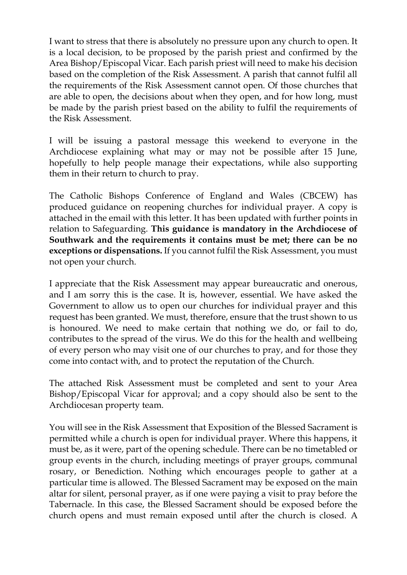I want to stress that there is absolutely no pressure upon any church to open. It is a local decision, to be proposed by the parish priest and confirmed by the Area Bishop/Episcopal Vicar. Each parish priest will need to make his decision based on the completion of the Risk Assessment. A parish that cannot fulfil all the requirements of the Risk Assessment cannot open. Of those churches that are able to open, the decisions about when they open, and for how long, must be made by the parish priest based on the ability to fulfil the requirements of the Risk Assessment.

I will be issuing a pastoral message this weekend to everyone in the Archdiocese explaining what may or may not be possible after 15 June, hopefully to help people manage their expectations, while also supporting them in their return to church to pray.

The Catholic Bishops Conference of England and Wales (CBCEW) has produced guidance on reopening churches for individual prayer. A copy is attached in the email with this letter. It has been updated with further points in relation to Safeguarding. **This guidance is mandatory in the Archdiocese of Southwark and the requirements it contains must be met; there can be no exceptions or dispensations.** If you cannot fulfil the Risk Assessment, you must not open your church.

I appreciate that the Risk Assessment may appear bureaucratic and onerous, and I am sorry this is the case. It is, however, essential. We have asked the Government to allow us to open our churches for individual prayer and this request has been granted. We must, therefore, ensure that the trust shown to us is honoured. We need to make certain that nothing we do, or fail to do, contributes to the spread of the virus. We do this for the health and wellbeing of every person who may visit one of our churches to pray, and for those they come into contact with, and to protect the reputation of the Church.

The attached Risk Assessment must be completed and sent to your Area Bishop/Episcopal Vicar for approval; and a copy should also be sent to the Archdiocesan property team.

You will see in the Risk Assessment that Exposition of the Blessed Sacrament is permitted while a church is open for individual prayer. Where this happens, it must be, as it were, part of the opening schedule. There can be no timetabled or group events in the church, including meetings of prayer groups, communal rosary, or Benediction. Nothing which encourages people to gather at a particular time is allowed. The Blessed Sacrament may be exposed on the main altar for silent, personal prayer, as if one were paying a visit to pray before the Tabernacle. In this case, the Blessed Sacrament should be exposed before the church opens and must remain exposed until after the church is closed. A